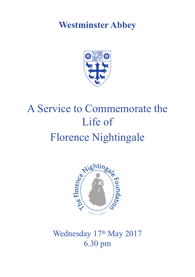# **Westminster Abbey**



# A Service to Commemorate the Life of Florence Nightingale



Wednesday 17th May 2017 6.30 pm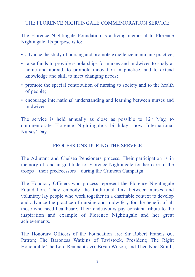THE FLORENCE NIGHTINGALE COMMEMORATION SERVICE

The Florence Nightingale Foundation is a living memorial to Florence Nightingale. Its purpose is to:

- advance the study of nursing and promote excellence in nursing practice;
- raise funds to provide scholarships for nurses and midwives to study at home and abroad, to promote innovation in practice, and to extend knowledge and skill to meet changing needs;
- promote the special contribution of nursing to society and to the health of people;
- encourage international understanding and learning between nurses and midwives.

The service is held annually as close as possible to  $12<sup>th</sup>$  May, to commemorate Florence Nightingale's birthday—now International Nurses' Day.

# PROCESSIONS DURING THE SERVICE

The Adjutant and Chelsea Pensioners process. Their participation is in memory of, and in gratitude to, Florence Nightingale for her care of the troops—their predecessors—during the Crimean Campaign.

The Honorary Officers who process represent the Florence Nightingale Foundation. They embody the traditional link between nurses and voluntary lay people who work together in a charitable context to develop and advance the practice of nursing and midwifery for the benefit of all those who need healthcare. Their endeavours pay constant tribute to the inspiration and example of Florence Nightingale and her great achievements.

The Honorary Officers of the Foundation are: Sir Robert Francis oc. Patron; The Baroness Watkins of Tavistock, President; The Right Honourable The Lord Remnant CVO, Bryan Wilson, and Theo Noel Smith,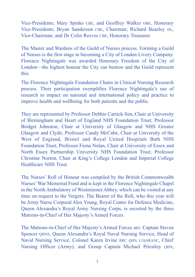Vice-Presidents; Mary Spinks CBE, and Geoffrey Walker OBE, Honorary Vice-Presidents; Bryan Sanderson CBE, Chairman; Richard Beazley DL, Vice-Chairman; and Dr Colin Reeves CBE, Honorary Treasurer.

The Master and Wardens of the Guild of Nurses process. Forming a Guild of Nurses is the first stage in becoming a City of London Livery Company. Florence Nightingale was awarded Honorary Freedom of the City of London—the highest honour the City can bestow and the Guild represent this.

The Florence Nightingale Foundation Chairs in Clinical Nursing Research process. Their participation exemplifies Florence Nightingale's use of research to impact on national and international policy and practice to improve health and wellbeing for both patients and the public.

They are represented by Professor Debbie Carrick-Sen, Chair at University of Birmingham and Heart of England NHS Foundation Trust; Professor Bridget Johnston, Chair at University of Glasgow and NHS Greater Glasgow and Clyde; Professor Candy McCabe, Chair at University of the West of England, Bristol and Royal United Hospitals Bath NHS Foundation Trust; Professor Fiona Nolan, Chair at University of Essex and North Essex Partnership University NHS Foundation Trust; Professor Christine Norton, Chair at King's College London and Imperial College Healthcare NHS Trust.

The Nurses' Roll of Honour was compiled by the British Commonwealth Nurses'War Memorial Fund and is kept in the Florence Nightingale Chapel in the North Ambulatory of Westminster Abbey, which can be visited at any time on request to the Vergers. The Bearer of the Roll, who this year will be Army Nurse Corporal Alex Young, Royal Centre for Defence Medicine, Queen Alexandra's Royal Army Nursing Corps, is escorted by the three Matrons-in-Chief of Her Majesty's Armed Forces.

The Matrons-in-Chief of Her Majesty's Armed Forces are: Captain Steven Spencer OHNS, Queen Alexandra's Royal Naval Nursing Service, Head of Naval Nursing Service, Colonel Karen Irvine RRC QHN L/QARANC, Chief Nursing Officer (Army), and Group Captain Michael Priestley QHN,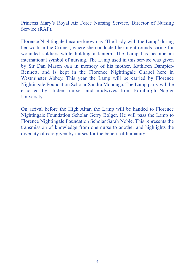Princess Mary's Royal Air Force Nursing Service, Director of Nursing Service (RAF).

Florence Nightingale became known as 'The Lady with the Lamp' during her work in the Crimea, where she conducted her night rounds caring for wounded soldiers while holding a lantern. The Lamp has become an international symbol of nursing. The Lamp used in this service was given by Sir Dan Mason OBE in memory of his mother, Kathleen Dampier-Bennett, and is kept in the Florence Nightingale Chapel here in Westminster Abbey. This year the Lamp will be carried by Florence Nightingale Foundation Scholar Sandra Mononga. The Lamp party will be escorted by student nurses and midwives from Edinburgh Napier University.

On arrival before the High Altar, the Lamp will be handed to Florence Nightingale Foundation Scholar Gerry Bolger. He will pass the Lamp to Florence Nightingale Foundation Scholar Sarah Noble. This represents the transmission of knowledge from one nurse to another and highlights the diversity of care given by nurses for the benefit of humanity.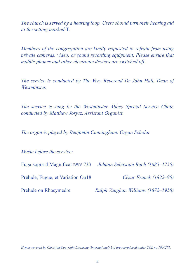*The church is served by a hearing loop. Users should turn their hearing aid to the setting marked* T*.*

*Members of the congregation are kindly requested to refrain from using private cameras, video, or sound recording equipment. Please ensure that mobile phones and other electronic devices are switched off.*

*The service is conducted by The Very Reverend Dr John Hall, Dean of Westminster.*

*The service is sung by the Westminster Abbey Special Service Choir, conducted by Matthew Jorysz, Assistant Organist.*

*The organ is played by Benjamin Cunningham, Organ Scholar.*

*Music before the service:*

Fuga sopra il Magnificat BWV 733 *Johann Sebastian Bach (1685–1750)*

Prélude, Fugue, et Variation Op18 *César Franck (1822–90)*

Prelude on Rhosymedre *Ralph Vaughan Williams (1872–1958)*

*Hymns covered by Christian Copyright Licensing (International) Ltd are reproduced under CCL no 1040271.*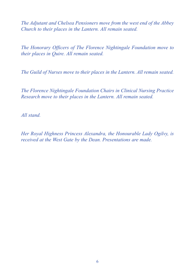*The Adjutant and Chelsea Pensioners move from the west end of the Abbey Church to their places in the Lantern. All remain seated.*

*The Honorary Officers of The Florence Nightingale Foundation move to their places in Quire. All remain seated.*

*The Guild of Nurses move to their places in the Lantern. All remain seated.*

*The Florence Nightingale Foundation Chairs in Clinical Nursing Practice Research move to their places in the Lantern. All remain seated.*

*All stand.*

*Her Royal Highness Princess Alexandra, the Honourable Lady Ogilvy, is received at the West Gate by the Dean. Presentations are made.*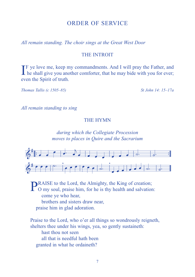# ORDER OF SERVICE

*All remain standing. The choir sings at the Great West Door*

#### THE INTROIT

If ye love me, keep my commandments. And I will pray the Father, and he shall give you another comforter, that he may bide with you for ever; he shall give you another comforter, that he may bide with you for ever; even the Spirit of truth.

*Thomas Tallis (c 1505–85) St John 14: 15–17a*

*All remain standing to sing*

#### THE HYMN

# *during which the Collegiate Procession moves to places in Quire and the Sacrarium*



**PRAISE** to the Lord, the Almighty, the King of creation;<br>O my soul, praise him, for he is thy health and salvation: come ye who hear, brothers and sisters draw near, praise him in glad adoration.

Praise to the Lord, who o'er all things so wondrously reigneth, shelters thee under his wings, yea, so gently sustaineth: hast thou not seen all that is needful hath been granted in what he ordaineth?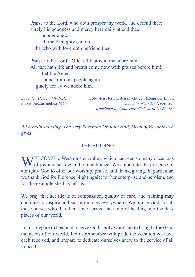Praise to the Lord, who doth prosper thy work, and defend thee; surely his goodness and mercy here daily attend thee; ponder anew all the Almighty can do, he who with love doth befriend thee.

Praise to the Lord! O let all that is in me adore him! All that hath life and breath come now with praises before him! Let the Amen sound from his people again: gladly for ay we adore him.

*Lobe den Herren 440 NEH* Lobe den Herren, den mächtigen König der Ehren Praxis pietatis melica *1668 Joachim Neander (1650–80) translated by Catherine Winkworth (1827–78)*

*All remain standing. The Very Reverend Dr John Hall, Dean of Westminster, gives*

#### THE BIDDING

WELCOME to Westminster Abbey, which has seen so many occasions<br>of joy and sorrow and remembrance. We come into the presence of almighty God to offer our worship, praise, and thanksgiving. In particular, we thank God for Florence Nightingale: for her enterprise and heroism, and for the example she has left us.

We pray that her ideals of compassion, quality of care, and training may continue to inspire and sustain nurses everywhere. We praise God for all those nurses who, like her, have carried the lamp of healing into the dark places of our world.

Let us prepare to hear and receive God's holy word and to bring before God the needs of our world. Let us remember with pride the vocation we have each received, and prepare to dedicate ourselves anew to the service of all in need.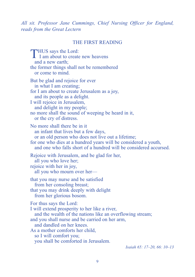*All sit. Professor Jane Cummings, Chief Nursing Officer for England, reads from the Great Lectern*

#### THE FIRST READING

THUS says the Lord: I I am about to create new heavens and a new earth: the former things shall not be remembered or come to mind. But be glad and rejoice for ever in what I am creating; for I am about to create Jerusalem as a joy, and its people as a delight. I will rejoice in Jerusalem, and delight in my people; no more shall the sound of weeping be heard in it, or the cry of distress. No more shall there be in it an infant that lives but a few days, or an old person who does not live out a lifetime; for one who dies at a hundred years will be considered a youth, and one who falls short of a hundred will be considered accursed. Rejoice with Jerusalem, and be glad for her, all you who love her; rejoice with her in joy, all you who mourn over her that you may nurse and be satisfied from her consoling breast; that you may drink deeply with delight from her glorious bosom. For thus says the Lord: I will extend prosperity to her like a river, and the wealth of the nations like an overflowing stream; and you shall nurse and be carried on her arm, and dandled on her knees. As a mother comforts her child, so I will comfort you; you shall be comforted in Jerusalem.

*Isaiah 65: 17–20, 66: 10–13*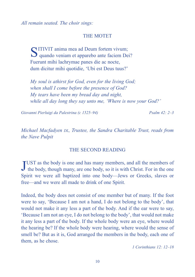*All remain seated. The choir sings:*

#### THE MOTET

SITIVIT anima mea ad Deum fortem vivum; quando veniam et apparebo ante faciem Dei? Fuerunt mihi lachrymae panes die ac nocte, dum dicitur mihi quotidie, 'Ubi est Deus tuus?'

*My soul is athirst for God, even for the living God; when shall I come before the presence of God? My tears have been my bread day and night, while all day long they say unto me, 'Where is now your God?'*

*Giovanni Pierluigi da Palestrina (c 1525–94) Psalm 42: 2–3*

*Michael Macfadyen DL, Trustee, the Sandra Charitable Trust, reads from the Nave Pulpit*

#### THE SECOND READING

JUST as the body is one and has many members, and all the members of the body, though many, are one body, so it is with Christ. For in the one UST as the body is one and has many members, and all the members of Spirit we were all baptized into one body—Jews or Greeks, slaves or free—and we were all made to drink of one Spirit.

Indeed, the body does not consist of one member but of many. If the foot were to say, 'Because I am not a hand, I do not belong to the body', that would not make it any less a part of the body. And if the ear were to say, 'Because I am not an eye, I do not belong to the body', that would not make it any less a part of the body. If the whole body were an eye, where would the hearing be? If the whole body were hearing, where would the sense of smell be? But as it is, God arranged the members in the body, each one of them, as he chose.

*1 Corinthians 12: 12–18*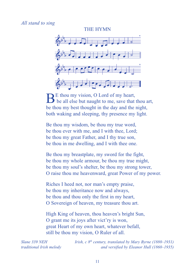#### *All stand to sing*



 $\mathbf{B}^{\text{E}}$  thou my vision, O Lord of my heart,<br>be all else but naught to me, save that thou art, be thou my best thought in the day and the night, both waking and sleeping, thy presence my light.

Be thou my wisdom, be thou my true word, be thou ever with me, and I with thee, Lord; be thou my great Father, and I thy true son, be thou in me dwelling, and I with thee one.

Be thou my breastplate, my sword for the fight, be thou my whole armour, be thou my true might, be thou my soul's shelter, be thou my strong tower, O raise thou me heavenward, great Power of my power.

Riches I heed not, nor man's empty praise, be thou my inheritance now and always, be thou and thou only the first in my heart, O Sovereign of heaven, my treasure thou art.

High King of heaven, thou heaven's bright Sun, O grant me its joys after vict'ry is won, great Heart of my own heart, whatever befall, still be thou my vision, O Ruler of all.

*Slane 339 NEH Irish, c 8th century, translated by Mary Byrne (1880–1931) traditional Irish melody and versified by Eleanor Hull (1860–1935)*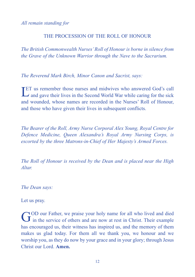*All remain standing for*

#### THE PROCESSION OF THE ROLL OF HONOUR

*The British Commonwealth Nurses'Roll of Honour is borne in silence from the Grave of the Unknown Warrior through the Nave to the Sacrarium.*

*The Reverend Mark Birch, Minor Canon and Sacrist, says:*

**LET** us remember those nurses and midwives who answered God's call and gave their lives in the Second World War while caring for the sick  $\rightarrow$  and gave their lives in the Second World War while caring for the sick and wounded, whose names are recorded in the Nurses' Roll of Honour, and those who have given their lives in subsequent conflicts.

*The Bearer of the Roll, Army Nurse Corporal Alex Young, Royal Centre for Defence Medicine, Queen Alexandra's Royal Army Nursing Corps, is escorted by the three Matrons-in-Chief of Her Majesty's Armed Forces.*

*The Roll of Honour is received by the Dean and is placed near the High Altar.*

*The Dean says:*

Let us pray.

GOD our Father, we praise your holy name for all who lived and died<br>in the service of others and are now at rest in Christ. Their example has encouraged us, their witness has inspired us, and the memory of them makes us glad today. For them all we thank you, we honour and we worship you, as they do now by your grace and in your glory; through Jesus Christ our Lord. **Amen.**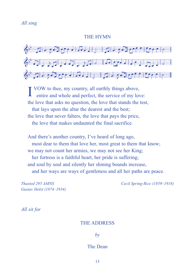#### THE HYMN



**I** VOW to thee, my country, all earthly things above, entire and whole and perfect, the service of my lo entire and whole and perfect, the service of my love: the love that asks no question, the love that stands the test, that lays upon the altar the dearest and the best; the love that never falters, the love that pays the price, the love that makes undaunted the final sacrifice.

And there's another country, I've heard of long ago, most dear to them that love her, most great to them that know; we may not count her armies, we may not see her King; her fortress is a faithful heart, her pride is suffering; and soul by soul and silently her shining bounds increase, and her ways are ways of gentleness and all her paths are peace.

*Gustav Holst (1874–1934)*

*Thaxted 295 AMNS Cecil Spring-Rice (1859–1918)*

*All sit for*

#### THE ADDRESS

*by*

#### The Dean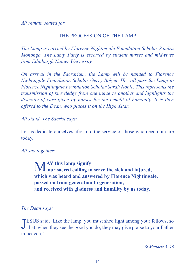*All remain seated for*

## THE PROCESSION OF THE LAMP

*The Lamp is carried by Florence Nightingale Foundation Scholar Sandra Mononga. The Lamp Party is escorted by student nurses and midwives from Edinburgh Napier University.*

*On arrival in the Sacrarium, the Lamp will be handed to Florence Nightingale Foundation Scholar Gerry Bolger. He will pass the Lamp to Florence Nightingale Foundation Scholar Sarah Noble. This represents the transmission of knowledge from one nurse to another and highlights the diversity of care given by nurses for the benefit of humanity. It is then offered to the Dean, who places it on the High Altar.*

*All stand. The Sacrist says:*

Let us dedicate ourselves afresh to the service of those who need our care today.

#### *All say together:*

M**AY this lamp signify our sacred calling to serve the sick and injured, which was heard and answered by Florence Nightingale, passed on from generation to generation, and received with gladness and humility by us today.**

#### *The Dean says:*

JESUS said, 'Like the lamp, you must shed light among your fellows, so that, when they see the good you do, they may give praise to your Father ESUS said, 'Like the lamp, you must shed light among your fellows, so in heaven.'

*St Matthew 5: 16*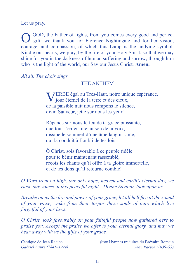Let us pray.

OGOD, the Father of lights, from you comes every good and perfect gift: we thank you for Florence Nightingale and for her vision, courage, and compassion, of which this Lamp is the undying symbol. Kindle our hearts, we pray, by the fire of your Holy Spirit, so that we may shine for you in the darkness of human suffering and sorrow; through him who is the light of the world, our Saviour Jesus Christ. **Amen.**

*All sit. The choir sings*

### THE ANTHEM

VERBE égal au Très-Haut, notre unique espérance, jour éternel de la terre et des cieux, de la paisible nuit nous rompons le silence, divin Sauveur, jette sur nous les yeux!

Répands sur nous le feu de ta grâce puissante, que tout l'enfer fuie au son de ta voix, dissipe le sommeil d'une âme languissante, qui la conduit à l'oubli de tes lois!

Ô Christ, sois favorable à ce peuple fidèle pour te bénir maintenant rassemblé, reçois les chants qu'il offre à ta gloire immortelle, et de tes dons qu'il retourne comblé!

*O Word from on high, our only hope, heaven and earth's eternal day, we raise our voices in this peaceful night—Divine Saviour, look upon us.*

*Breathe on us the fire and power of your grace, let all hell flee at the sound of your voice, wake from their torpor these souls of ours which live forgetful of your laws.*

*O Christ, look favourably on your faithful people now gathered here to praise you. Accept the praise we offer to your eternal glory, and may we bear away with us the gifts of your grace.*

Cantique de Jean Racine *from* Hymnes traduites du Brévaire Romain *Gabriel Fauré (1845–1924) Jean Racine (1639–99)*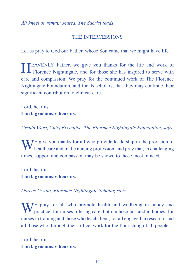*All kneel or remain seated. The Sacrist leads*

# THE INTERCESSIONS

Let us pray to God our Father, whose Son came that we might have life.

HEAVENLY Father, we give you thanks for the life and work of Florence Nightingale, and for those she has inspired to serve with care and compassion. We pray for the continued work of The Florence Nightingale Foundation, and for its scholars, that they may continue their significant contribution to clinical care.

Lord, hear us. **Lord, graciously hear us.**

*Ursula Ward, Chief Executive, The Florence Nightingale Foundation, says:*

 $\bf{W}$   $\bf{V}$  give you thanks for all who provide leadership in the provision of healthcare and in the nursing profession, and pray that, in challenging times, support and compassion may be shown to those most in need.

Lord, hear us. **Lord, graciously hear us.**

*Dorcas Gwata, Florence Nightingale Scholar, says:*

WE pray for all who promote health and wellbeing in policy and practice; for nurses offering care, both in hospitals and in homes; for nurses in training and those who teach them; for all engaged in research; and all those who, through their office, work for the flourishing of all people.

Lord, hear us. **Lord, graciously hear us.**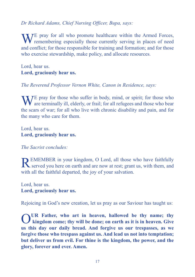# *Dr Richard Adams, Chief Nursing Officer, Bupa, says:*

 $\bf{W}$  / E pray for all who promote healthcare within the Armed Forces, **V** remembering especially those currently serving in places of need and conflict; for those responsible for training and formation; and for those who exercise stewardship, make policy, and allocate resources.

Lord, hear us. **Lord, graciously hear us.**

*The Reverend Professor Vernon White, Canon in Residence, says:*

 $\blacksquare$   $\blacksquare$   $\blacksquare$   $\blacksquare$   $\blacksquare$   $\blacksquare$   $\blacksquare$   $\blacksquare$   $\blacksquare$   $\blacksquare$   $\blacksquare$   $\blacksquare$   $\blacksquare$   $\blacksquare$   $\blacksquare$   $\blacksquare$   $\blacksquare$   $\blacksquare$   $\blacksquare$   $\blacksquare$   $\blacksquare$   $\blacksquare$   $\blacksquare$   $\blacksquare$   $\blacksquare$   $\blacksquare$   $\blacksquare$   $\blacksquare$   $\blacksquare$   $\blacksquare$   $\blacksquare$   $\blacks$  $\bf{V}$  are terminally ill, elderly, or frail; for all refugees and those who bear the scars of war; for all who live with chronic disability and pain, and for the many who care for them.

Lord, hear us. **Lord, graciously hear us.**

*The Sacrist concludes:*

**D** EMEMBER in your kingdom, O Lord, all those who have faithfully Served you here on earth and are now at rest; grant us, with them, and with all the faithful departed, the joy of your salvation.

Lord, hear us. **Lord, graciously hear us.**

Rejoicing in God's new creation, let us pray as our Saviour has taught us:

OUR Father, who art in heaven, hallowed be thy name; thy<br>
kingdom come; thy will be done; on earth as it is in heaven. Give **us this day our daily bread. And forgive us our trespasses, as we forgive those who trespass against us. And lead us not into temptation; but deliver us from evil. For thine is the kingdom, the power, and the glory, forever and ever. Amen.**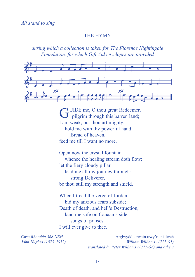#### THE HYMN

*during which a collection is taken for The Florence Nightingale Foundation, for which Gift Aid envelopes are provided*



GUIDE me, O thou great Redeemer,<br>pilgrim through this barren land; I am weak, but thou art mighty; hold me with thy powerful hand: Bread of heaven, feed me till I want no more.

Open now the crystal fountain whence the healing stream doth flow; let the fiery cloudy pillar lead me all my journey through: strong Deliverer, be thou still my strength and shield.

When I tread the verge of Jordan, bid my anxious fears subside; Death of death, and hell's Destruction, land me safe on Canaan's side: songs of praises I will ever give to thee.

*Cwm Rhondda* 368 *NEH* Arglwydd, arwain trwy'r anialwch *John Hughes (1873–1932) William Williams (1717–91) translated by Peter Williams (1727–96) and others*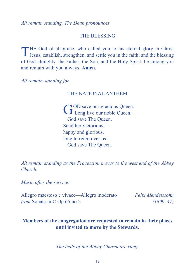*All remain standing. The Dean pronounces*

#### THE BLESSING

THE God of all grace, who called you to his eternal glory in Christ Jesus, establish, strengthen, and settle you in the faith; and the blessing of God almighty, the Father, the Son, and the Holy Spirit, be among you and remain with you always. **Amen.**

*All remain standing for*

#### THE NATIONAL ANTHEM

GOD save our gracious Queen.<br>
Long live our noble Queen. God save The Queen. Send her victorious, happy and glorious, long to reign over us: God save The Queen.

*All remain standing as the Procession moves to the west end of the Abbey Church.*

*Music after the service:*

Allegro maestoso e vivace—Allegro moderato *Felix Mendelssohn from* Sonata in C Op 65 no 2 *(1809–47)*

# **Members of the congregation are requested to remain in their places until invited to move by the Stewards.**

*The bells of the Abbey Church are rung.*